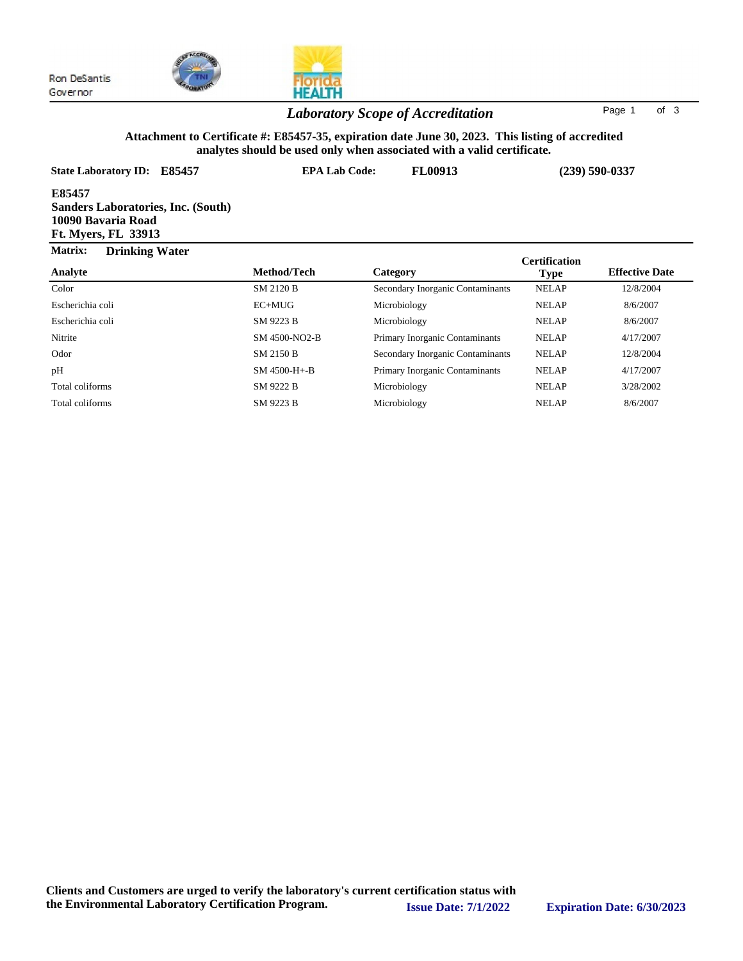



## *Laboratory Scope of Accreditation* Page <sup>1</sup> of <sup>3</sup>

### **Attachment to Certificate #: E85457-35, expiration date June 30, 2023. This listing of accredited analytes should be used only when associated with a valid certificate.**

| State Laboratory ID: E85457                                                                      | <b>EPA Lab Code:</b> | FL00913                          | $(239)$ 590-0337     |                       |
|--------------------------------------------------------------------------------------------------|----------------------|----------------------------------|----------------------|-----------------------|
| E85457<br><b>Sanders Laboratories, Inc. (South)</b><br>10090 Bavaria Road<br>Ft. Myers, FL 33913 |                      |                                  |                      |                       |
| Matrix:<br><b>Drinking Water</b>                                                                 |                      |                                  | <b>Certification</b> |                       |
| Analyte                                                                                          | Method/Tech          | Category                         | <b>Type</b>          | <b>Effective Date</b> |
| Color                                                                                            | SM 2120 B            | Secondary Inorganic Contaminants | <b>NELAP</b>         | 12/8/2004             |
| Escherichia coli                                                                                 | $EC+MUG$             | Microbiology                     | <b>NELAP</b>         | 8/6/2007              |
| Escherichia coli                                                                                 | SM 9223 B            | Microbiology                     | <b>NELAP</b>         | 8/6/2007              |
| Nitrite                                                                                          | SM 4500-NO2-B        | Primary Inorganic Contaminants   | <b>NELAP</b>         | 4/17/2007             |
| Odor                                                                                             | SM 2150 B            | Secondary Inorganic Contaminants | <b>NELAP</b>         | 12/8/2004             |
| pH                                                                                               | $SM$ 4500-H+-B       | Primary Inorganic Contaminants   | <b>NELAP</b>         | 4/17/2007             |
| Total coliforms                                                                                  | SM 9222 B            | Microbiology                     | <b>NELAP</b>         | 3/28/2002             |
| Total coliforms                                                                                  | SM 9223 B            | Microbiology                     | <b>NELAP</b>         | 8/6/2007              |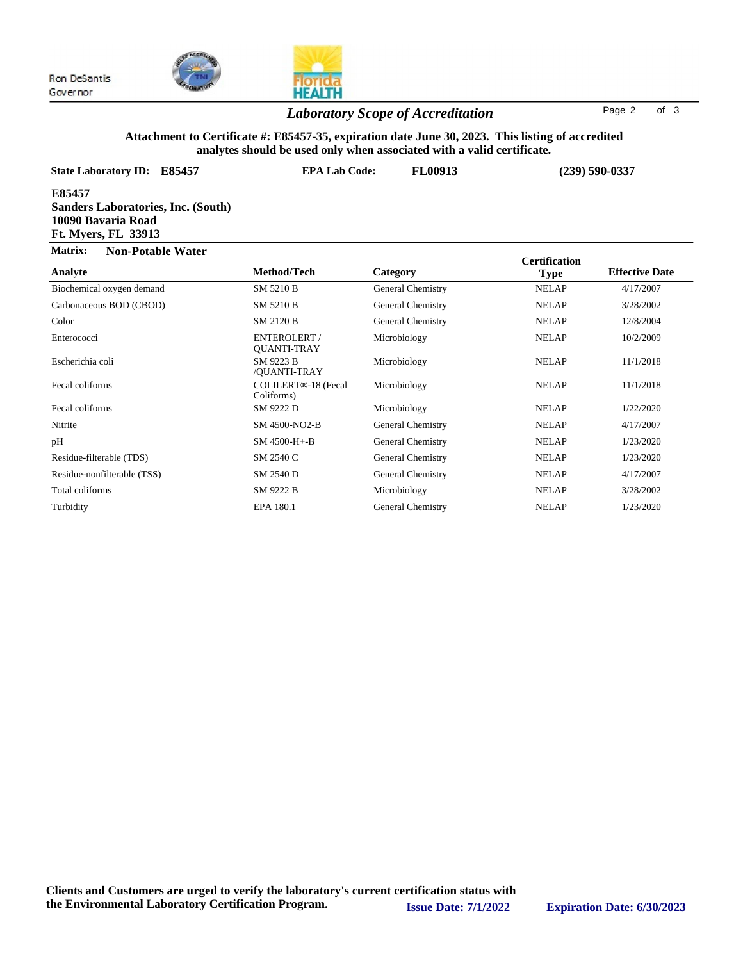

# **HEALTH**

## *Laboratory Scope of Accreditation* Page <sup>2</sup> of <sup>3</sup>

#### **Attachment to Certificate #: E85457-35, expiration date June 30, 2023. This listing of accredited analytes should be used only when associated with a valid certificate.**

| anarytes should be used only when associated with a vand teruntale.                                     |                                    |                                 |                      |                       |  |  |  |  |
|---------------------------------------------------------------------------------------------------------|------------------------------------|---------------------------------|----------------------|-----------------------|--|--|--|--|
| <b>State Laboratory ID:</b><br>E85457                                                                   |                                    | <b>EPA Lab Code:</b><br>FL00913 |                      | $(239) 590 - 0337$    |  |  |  |  |
| E85457<br><b>Sanders Laboratories, Inc. (South)</b><br>10090 Bavaria Road<br><b>Ft. Myers, FL 33913</b> |                                    |                                 |                      |                       |  |  |  |  |
| Matrix:<br><b>Non-Potable Water</b>                                                                     |                                    |                                 | <b>Certification</b> |                       |  |  |  |  |
| Analyte                                                                                                 | Method/Tech                        | Category                        | <b>Type</b>          | <b>Effective Date</b> |  |  |  |  |
| Biochemical oxygen demand                                                                               | SM 5210 B                          | <b>General Chemistry</b>        | <b>NELAP</b>         | 4/17/2007             |  |  |  |  |
| Carbonaceous BOD (CBOD)                                                                                 | SM 5210 B                          | General Chemistry               | <b>NELAP</b>         | 3/28/2002             |  |  |  |  |
| Color                                                                                                   | <b>SM 2120 B</b>                   | <b>General Chemistry</b>        | <b>NELAP</b>         | 12/8/2004             |  |  |  |  |
| Enterococci                                                                                             | ENTEROLERT /<br><b>OUANTI-TRAY</b> | Microbiology                    | <b>NELAP</b>         | 10/2/2009             |  |  |  |  |
| Escherichia coli                                                                                        | SM 9223 B<br>/QUANTI-TRAY          | Microbiology                    | <b>NELAP</b>         | 11/1/2018             |  |  |  |  |
| Fecal coliforms                                                                                         | COLILERT®-18 (Fecal<br>Coliforms)  | Microbiology                    | <b>NELAP</b>         | 11/1/2018             |  |  |  |  |
| Fecal coliforms                                                                                         | SM 9222 D                          | Microbiology                    | <b>NELAP</b>         | 1/22/2020             |  |  |  |  |
| Nitrite                                                                                                 | SM 4500-NO2-B                      | <b>General Chemistry</b>        | <b>NELAP</b>         | 4/17/2007             |  |  |  |  |
| pH                                                                                                      | SM 4500-H+-B                       | <b>General Chemistry</b>        | <b>NELAP</b>         | 1/23/2020             |  |  |  |  |
| Residue-filterable (TDS)                                                                                | SM 2540 C                          | General Chemistry               | <b>NELAP</b>         | 1/23/2020             |  |  |  |  |
| Residue-nonfilterable (TSS)                                                                             | SM 2540 D                          | <b>General Chemistry</b>        | <b>NELAP</b>         | 4/17/2007             |  |  |  |  |
| Total coliforms                                                                                         | SM 9222 B                          | Microbiology                    | <b>NELAP</b>         | 3/28/2002             |  |  |  |  |
| Turbidity                                                                                               | EPA 180.1                          | <b>General Chemistry</b>        | <b>NELAP</b>         | 1/23/2020             |  |  |  |  |